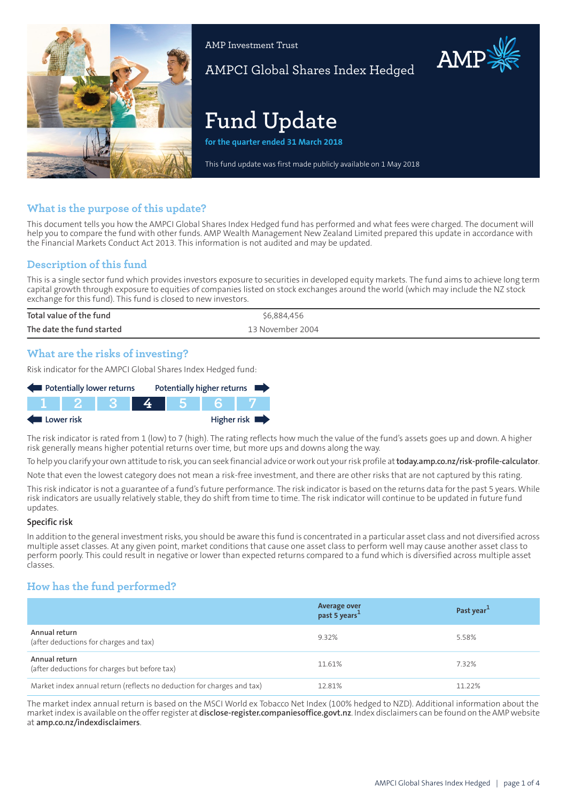

AMP Investment Trust

AMPCI Global Shares Index Hedged

# **Fund Update**

**for the quarter ended 31 March 2018**

This fund update was first made publicly available on 1 May 2018

# **What is the purpose of this update?**

This document tells you how the AMPCI Global Shares Index Hedged fund has performed and what fees were charged. The document will help you to compare the fund with other funds. AMP Wealth Management New Zealand Limited prepared this update in accordance with the Financial Markets Conduct Act 2013. This information is not audited and may be updated.

# **Description of this fund**

This is a single sector fund which provides investors exposure to securities in developed equity markets. The fund aims to achieve long term capital growth through exposure to equities of companies listed on stock exchanges around the world (which may include the NZ stock exchange for this fund). This fund is closed to new investors.

| Total value of the fund   | \$6,884,456      |
|---------------------------|------------------|
| The date the fund started | 13 November 2004 |

## **What are the risks of investing?**

Risk indicator for the AMPCI Global Shares Index Hedged fund:

| Potentially lower returns |  |  |  |  | Potentially higher returns |
|---------------------------|--|--|--|--|----------------------------|
|                           |  |  |  |  |                            |
| Lower risk                |  |  |  |  | Higher risk                |

The risk indicator is rated from 1 (low) to 7 (high). The rating reflects how much the value of the fund's assets goes up and down. A higher risk generally means higher potential returns over time, but more ups and downs along the way.

To help you clarify your own attitude to risk, you can seek financial advice orwork out yourrisk profile at**[today.amp.co.nz/risk-profile-calculator](http://today.amp.co.nz/risk-profile-calculator)**.

Note that even the lowest category does not mean a risk-free investment, and there are other risks that are not captured by this rating.

This risk indicator is not a guarantee of a fund's future performance. The risk indicator is based on the returns data for the past 5 years. While risk indicators are usually relatively stable, they do shift from time to time. The risk indicator will continue to be updated in future fund updates.

#### **Specific risk**

In addition to the general investmentrisks, you should be aware this fund is concentrated in a particular asset class and not diversified across multiple asset classes. At any given point, market conditions that cause one asset class to perform well may cause another asset class to perform poorly. This could result in negative or lower than expected returns compared to a fund which is diversified across multiple asset classes.

# **How has the fund performed?**

|                                                                        | Average over<br>past 5 years <sup>1</sup> | Past year <sup>1</sup> |
|------------------------------------------------------------------------|-------------------------------------------|------------------------|
| Annual return<br>(after deductions for charges and tax)                | 9.32%                                     | 5.58%                  |
| Annual return<br>(after deductions for charges but before tax)         | 11.61%                                    | 7.32%                  |
| Market index annual return (reflects no deduction for charges and tax) | 12.81%                                    | 11.22%                 |

The market index annual return is based on the MSCI World ex Tobacco Net Index (100% hedged to NZD). Additional information about the marketindex is available on the offerregister at **[disclose-register.companiesoffice.govt.nz](https://disclose-register.companiesoffice.govt.nz/)**. Index disclaimers can be found on the AMP website at **[amp.co.nz/indexdisclaimers](http://amp.co.nz/indexdisclaimers)**.

AMP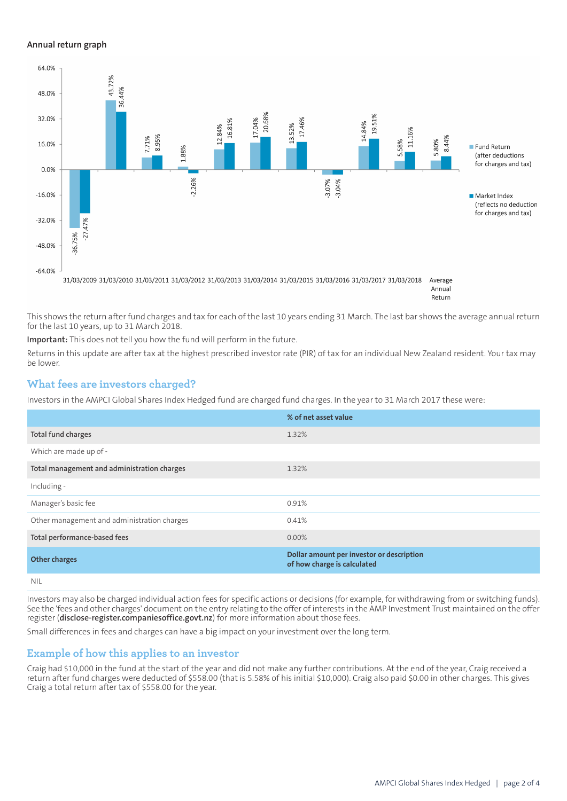#### **Annual return graph**



Return

This shows the return after fund charges and tax for each of the last 10 years ending 31 March. The last bar shows the average annual return for the last 10 years, up to 31 March 2018.

**Important:** This does not tell you how the fund will perform in the future.

Returns in this update are after tax at the highest prescribed investor rate (PIR) of tax for an individual New Zealand resident. Your tax may be lower.

## **What fees are investors charged?**

Investors in the AMPCI Global Shares Index Hedged fund are charged fund charges. In the year to 31 March 2017 these were:

|                                             | % of net asset value                                                     |
|---------------------------------------------|--------------------------------------------------------------------------|
| Total fund charges                          | 1.32%                                                                    |
| Which are made up of -                      |                                                                          |
| Total management and administration charges | 1.32%                                                                    |
| Including -                                 |                                                                          |
| Manager's basic fee                         | 0.91%                                                                    |
| Other management and administration charges | 0.41%                                                                    |
| Total performance-based fees                | 0.00%                                                                    |
| <b>Other charges</b>                        | Dollar amount per investor or description<br>of how charge is calculated |
| .                                           |                                                                          |

NIL

Investors may also be charged individual action fees for specific actions or decisions (for example, for withdrawing from or switching funds). See the 'fees and other charges' document on the entry relating to the offer of interests in the AMP Investment Trust maintained on the offer register (**[disclose-register.companiesoffice.govt.nz](https://disclose-register.companiesoffice.govt.nz/)**) for more information about those fees.

Small differences in fees and charges can have a big impact on your investment over the long term.

## **Example of how this applies to an investor**

Craig had \$10,000 in the fund at the start of the year and did not make any further contributions. At the end of the year, Craig received a return after fund charges were deducted of \$558.00 (that is 5.58% of his initial \$10,000). Craig also paid \$0.00 in other charges. This gives Craig a total return after tax of \$558.00 for the year.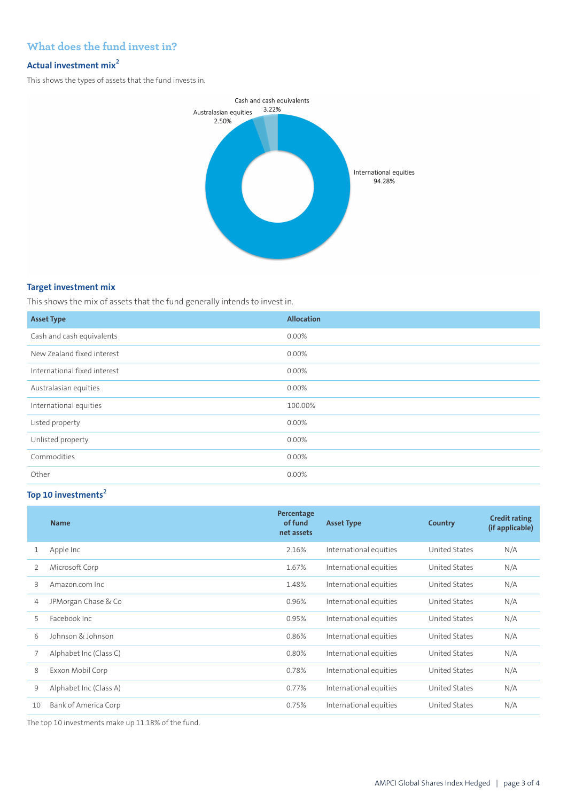# **What does the fund invest in?**

# **Actual investment mix<sup>2</sup>**

This shows the types of assets that the fund invests in.



## **Target investment mix**

This shows the mix of assets that the fund generally intends to invest in.

| <b>Asset Type</b>            | <b>Allocation</b> |
|------------------------------|-------------------|
| Cash and cash equivalents    | 0.00%             |
| New Zealand fixed interest   | 0.00%             |
| International fixed interest | 0.00%             |
| Australasian equities        | 0.00%             |
| International equities       | 100.00%           |
| Listed property              | $0.00\%$          |
| Unlisted property            | 0.00%             |
| Commodities                  | 0.00%             |
| Other                        | 0.00%             |

# **Top 10 investments<sup>2</sup>**

|    | <b>Name</b>            | Percentage<br>of fund<br>net assets | <b>Asset Type</b>      | <b>Country</b> | <b>Credit rating</b><br>(if applicable) |
|----|------------------------|-------------------------------------|------------------------|----------------|-----------------------------------------|
| 1  | Apple Inc              | 2.16%                               | International equities | United States  | N/A                                     |
| 2  | Microsoft Corp         | 1.67%                               | International equities | United States  | N/A                                     |
| 3  | Amazon.com Inc.        | 1.48%                               | International equities | United States  | N/A                                     |
| 4  | JPMorgan Chase & Co    | 0.96%                               | International equities | United States  | N/A                                     |
| 5  | Facebook Inc.          | 0.95%                               | International equities | United States  | N/A                                     |
| 6  | Johnson & Johnson      | 0.86%                               | International equities | United States  | N/A                                     |
|    | Alphabet Inc (Class C) | 0.80%                               | International equities | United States  | N/A                                     |
| 8  | Exxon Mobil Corp       | 0.78%                               | International equities | United States  | N/A                                     |
| 9  | Alphabet Inc (Class A) | 0.77%                               | International equities | United States  | N/A                                     |
| 10 | Bank of America Corp   | 0.75%                               | International equities | United States  | N/A                                     |

The top 10 investments make up 11.18% of the fund.